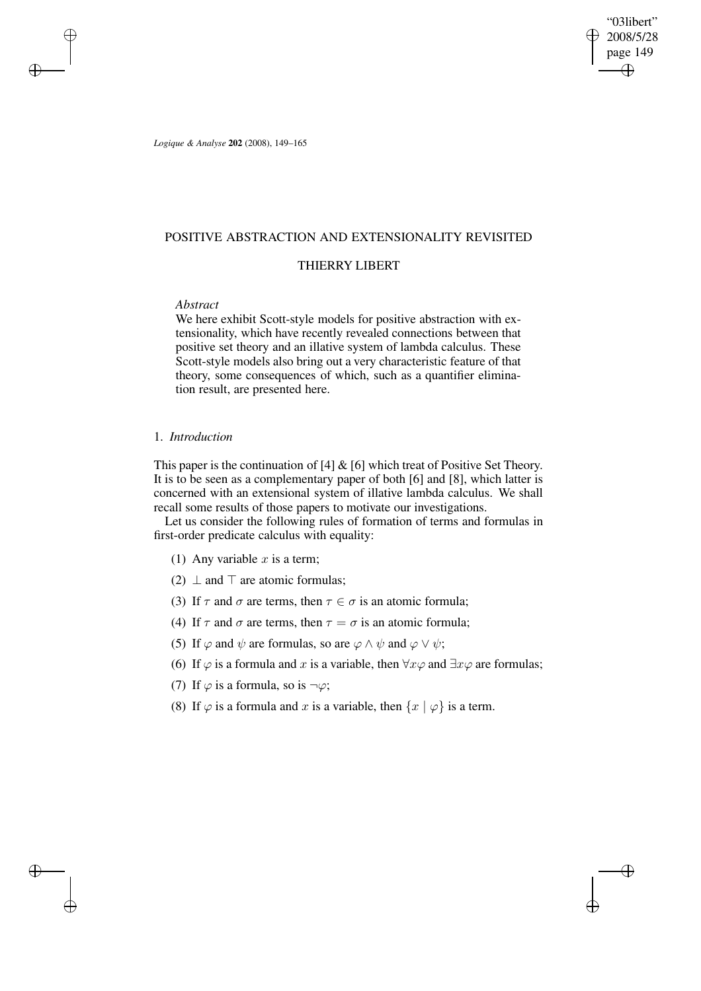"03libert" 2008/5/28 page 149 ✐ ✐

✐

✐

*Logique & Analyse* **202** (2008), 149–165

## POSITIVE ABSTRACTION AND EXTENSIONALITY REVISITED

# THIERRY LIBERT

# *Abstract*

 $\rightarrow$ 

✐

✐

✐

We here exhibit Scott-style models for positive abstraction with extensionality, which have recently revealed connections between that positive set theory and an illative system of lambda calculus. These Scott-style models also bring out a very characteristic feature of that theory, some consequences of which, such as a quantifier elimination result, are presented here.

## 1. *Introduction*

This paper is the continuation of  $[4]$  &  $[6]$  which treat of Positive Set Theory. It is to be seen as a complementary paper of both [6] and [8], which latter is concerned with an extensional system of illative lambda calculus. We shall recall some results of those papers to motivate our investigations.

Let us consider the following rules of formation of terms and formulas in first-order predicate calculus with equality:

- (1) Any variable  $x$  is a term;
- (2)  $\perp$  and  $\perp$  are atomic formulas;
- (3) If  $\tau$  and  $\sigma$  are terms, then  $\tau \in \sigma$  is an atomic formula;
- (4) If  $\tau$  and  $\sigma$  are terms, then  $\tau = \sigma$  is an atomic formula;
- (5) If  $\varphi$  and  $\psi$  are formulas, so are  $\varphi \wedge \psi$  and  $\varphi \vee \psi$ ;
- (6) If  $\varphi$  is a formula and x is a variable, then  $\forall x \varphi$  and  $\exists x \varphi$  are formulas;
- (7) If  $\varphi$  is a formula, so is  $\neg \varphi$ ;
- (8) If  $\varphi$  is a formula and x is a variable, then  $\{x \mid \varphi\}$  is a term.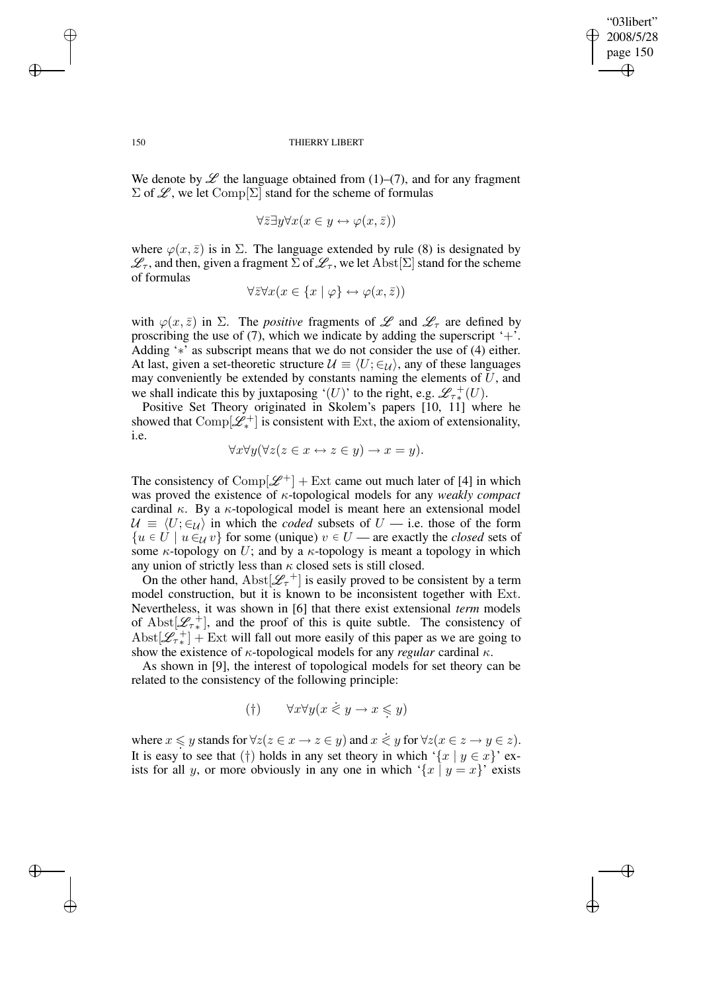✐

#### 150 THIERRY LIBERT

We denote by  $\mathscr L$  the language obtained from (1)–(7), and for any fragment  $\Sigma$  of  $\mathscr{L}$ , we let  $\mathrm{Comp}[\Sigma]$  stand for the scheme of formulas

$$
\forall \bar{z} \exists y \forall x (x \in y \leftrightarrow \varphi(x, \bar{z}))
$$

where  $\varphi(x,\bar{z})$  is in  $\Sigma$ . The language extended by rule (8) is designated by  $\mathscr{L}_{\tau}$ , and then, given a fragment  $\Sigma$  of  $\mathscr{L}_{\tau}$ , we let  $\mathrm{Abst}[\Sigma]$  stand for the scheme of formulas

$$
\forall \bar{z} \forall x (x \in \{x \mid \varphi\} \leftrightarrow \varphi(x, \bar{z}))
$$

with  $\varphi(x,\bar{z})$  in  $\Sigma$ . The *positive* fragments of  $\mathscr L$  and  $\mathscr L_{\tau}$  are defined by proscribing the use of (7), which we indicate by adding the superscript  $+$ . Adding '∗' as subscript means that we do not consider the use of (4) either. At last, given a set-theoretic structure  $\mathcal{U} \equiv \langle U; \in_{\mathcal{U}} \rangle$ , any of these languages may conveniently be extended by constants naming the elements of  $U$ , and we shall indicate this by juxtaposing '(U)' to the right, e.g.  $\mathcal{L}_{\tau*}^{+}(U)$ .

Positive Set Theory originated in Skolem's papers [10, 11] where he showed that  $\text{Comp}[\mathscr{L}_*^+]$  is consistent with Ext, the axiom of extensionality, i.e.

$$
\forall x \forall y (\forall z (z \in x \leftrightarrow z \in y) \rightarrow x = y).
$$

The consistency of  $\text{Comp}[\mathcal{L}^+]$  + Ext came out much later of [4] in which was proved the existence of κ-topological models for any *weakly compact* cardinal  $\kappa$ . By a  $\kappa$ -topological model is meant here an extensional model  $U \equiv \langle U; \in \rangle$  in which the *coded* subsets of  $U$  — i.e. those of the form  ${u \in U \mid u \in_{\mathcal{U}} v}$  for some (unique)  $v \in U$  — are exactly the *closed* sets of some  $\kappa$ -topology on U; and by a  $\kappa$ -topology is meant a topology in which any union of strictly less than  $\kappa$  closed sets is still closed.

On the other hand,  $\text{Abst}[\mathcal{L}_\tau^+]$  is easily proved to be consistent by a term model construction, but it is known to be inconsistent together with Ext. Nevertheless, it was shown in [6] that there exist extensional *term* models of Abst $[\mathcal{L}_{\tau*}^+]$ , and the proof of this is quite subtle. The consistency of Abst $[\mathscr{L}_{\tau*}^+]$  + Ext will fall out more easily of this paper as we are going to show the existence of κ-topological models for any *regular* cardinal κ.

As shown in [9], the interest of topological models for set theory can be related to the consistency of the following principle:

$$
(\dagger) \qquad \forall x \forall y (x \leq y \to x \leq y)
$$

where  $x \leq y$  stands for  $\forall z (z \in x \rightarrow z \in y)$  and  $x \leq y$  for  $\forall z (x \in z \rightarrow y \in z)$ . It is easy to see that (†) holds in any set theory in which '{x | y  $\in x$ }' exists for all y, or more obviously in any one in which '{x | y = x}' exists

 $\rightarrow$ 

✐

✐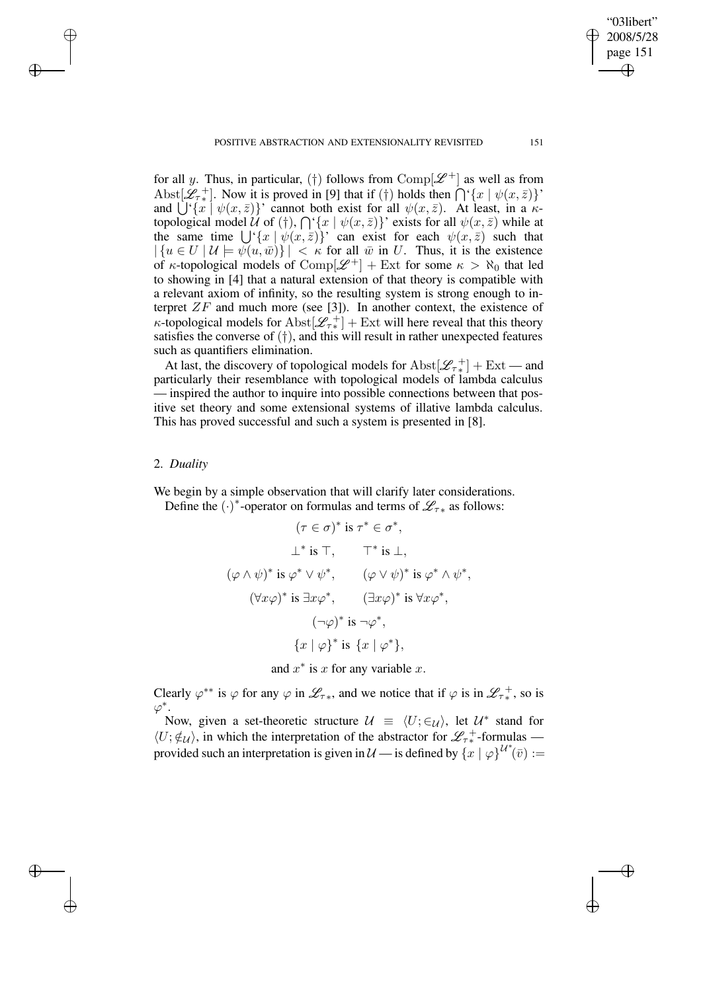POSITIVE ABSTRACTION AND EXTENSIONALITY REVISITED 151

for all y. Thus, in particular, (†) follows from Comp[ $\mathscr{L}^+$ ] as well as from Abst $[\mathcal{L}_{\tau^*}]$ . Now it is proved in [9] that if (†) holds then  $\bigcap {\tau \{x \mid \psi(x, \bar{z})\}}'$ and  $\bigcup^{3} \{x \mid \psi(x, \bar{z})\}$ ' cannot both exist for all  $\psi(x, \bar{z})$ . At least, in a  $\kappa$ topological model U of (†),  $\bigcap \{x \mid \psi(x, \bar{z})\}$ ' exists for all  $\psi(x, \bar{z})$  while at the same time  $\bigcup^{\in} \{x \mid \psi(x, \bar{z})\}$  can exist for each  $\psi(x, \bar{z})$  such that  $|\{u \in U \mid \mathcal{U} \models \psi(u,\bar{w})\}| < \kappa$  for all  $\bar{w}$  in U. Thus, it is the existence of  $\kappa$ -topological models of Comp $[\mathscr{L}^+]$  + Ext for some  $\kappa > \aleph_0$  that led to showing in [4] that a natural extension of that theory is compatible with a relevant axiom of infinity, so the resulting system is strong enough to interpret  $ZF$  and much more (see [3]). In another context, the existence of  $\kappa$ -topological models for  $\text{Abst}[\mathscr{L}_{\tau^*}] + \text{Ext}$  will here reveal that this theory satisfies the converse of  $(\dagger)$ , and this will result in rather unexpected features such as quantifiers elimination.

At last, the discovery of topological models for  $\text{Abst}[\mathscr{L}_{\tau*}^+] + \text{Ext}$  — and particularly their resemblance with topological models of lambda calculus — inspired the author to inquire into possible connections between that positive set theory and some extensional systems of illative lambda calculus. This has proved successful and such a system is presented in [8].

### 2. *Duality*

 $\rightarrow$ 

✐

✐

✐

We begin by a simple observation that will clarify later considerations. Define the  $(\cdot)^*$ -operator on formulas and terms of  $\mathcal{L}_{\tau*}$  as follows:

$$
(\tau \in \sigma)^* \text{ is } \tau^* \in \sigma^*,
$$
  
\n
$$
\perp^* \text{ is } \top, \qquad \top^* \text{ is } \perp,
$$
  
\n
$$
(\varphi \wedge \psi)^* \text{ is } \varphi^* \vee \psi^*, \qquad (\varphi \vee \psi)^* \text{ is } \varphi^* \wedge \psi^*,
$$
  
\n
$$
(\forall x \varphi)^* \text{ is } \exists x \varphi^*, \qquad (\exists x \varphi)^* \text{ is } \forall x \varphi^*,
$$
  
\n
$$
(\neg \varphi)^* \text{ is } \neg \varphi^*,
$$
  
\n
$$
\{x \mid \varphi\}^* \text{ is } \{x \mid \varphi^*\},
$$

and  $x^*$  is x for any variable x.

Clearly  $\varphi^{**}$  is  $\varphi$  for any  $\varphi$  in  $\mathscr{L}_{\tau^*}$ , and we notice that if  $\varphi$  is in  $\mathscr{L}_{\tau^*}$ , so is  $\varphi^*.$ 

Now, given a set-theoretic structure  $\mathcal{U} = \langle U; \in \mathcal{U} \rangle$ , let  $\mathcal{U}^*$  stand for  $\langle U;\not\in_{\mathcal{U}}\rangle$ , in which the interpretation of the abstractor for  $\mathscr{L}_{\tau*}^+$ -formulas provided such an interpretation is given in  $\mathcal{U}$  — is defined by  $\{x \mid \varphi\}^{\mathcal{U}^*}(\bar{v}) :=$ 

"03libert" 2008/5/28 page 151

✐

✐

✐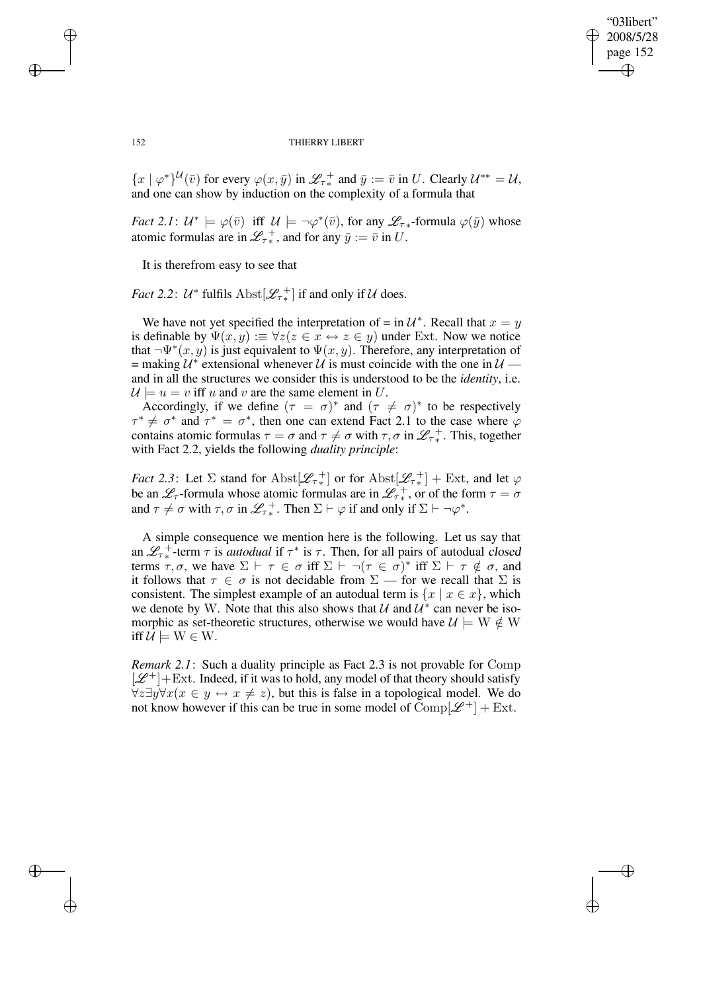✐

#### 152 THIERRY LIBERT

 ${x \mid \varphi^*}^{\mathcal{U}}(\bar{v})$  for every  $\varphi(x,\bar{y})$  in  $\mathcal{L}_{\tau^*}$  and  $\bar{y} := \bar{v}$  in U. Clearly  $\mathcal{U}^{**} = \mathcal{U}$ , and one can show by induction on the complexity of a formula that

*Fact* 2.1:  $U^* \models \varphi(\bar{v})$  iff  $U \models \neg \varphi^*(\bar{v})$ , for any  $\mathscr{L}_{\tau^*}$ -formula  $\varphi(\bar{y})$  whose atomic formulas are in  $\mathscr{L}_{\tau^*}^+$ , and for any  $\bar{y} := \bar{v}$  in U.

It is therefrom easy to see that

*Fact* 2.2:  $U^*$  fulfils  $\text{Abst}[\mathscr{L}_{\tau^*}]$  if and only if  $U$  does.

We have not yet specified the interpretation of = in  $\mathcal{U}^*$ . Recall that  $x = y$ is definable by  $\Psi(x, y) := \forall z (z \in x \leftrightarrow z \in y)$  under Ext. Now we notice that  $\neg \Psi^*(x, y)$  is just equivalent to  $\Psi(x, y)$ . Therefore, any interpretation of = making  $\mathcal{U}^*$  extensional whenever  $\mathcal{U}$  is must coincide with the one in  $\mathcal{U}$  and in all the structures we consider this is understood to be the *identity*, i.e.  $U \models u = v$  iff u and v are the same element in U.

Accordingly, if we define  $(\tau = \sigma)^*$  and  $(\tau \neq \sigma)^*$  to be respectively  $\tau^* \neq \sigma^*$  and  $\tau^* = \sigma^*$ , then one can extend Fact 2.1 to the case where  $\varphi$ contains atomic formulas  $\tau = \sigma$  and  $\tau \neq \sigma$  with  $\tau, \sigma$  in  $\mathscr{L}_{\tau *}^{\,+}$ . This, together with Fact 2.2, yields the following *duality principle*:

*Fact* 2.3: Let  $\Sigma$  stand for  $\text{Abst}[\mathscr{L}_{\tau_*}^+]$  or for  $\text{Abst}[\mathscr{L}_{\tau_*}^+]$  + Ext, and let  $\varphi$ be an  $\mathscr{L}_{\tau}$ -formula whose atomic formulas are in  $\mathscr{L}_{\tau^*}$ , or of the form  $\tau = \sigma$ and  $\tau \neq \sigma$  with  $\tau, \sigma$  in  $\mathscr{L}_{\tau^*}^+$ . Then  $\Sigma \vdash \varphi$  if and only if  $\Sigma \vdash \neg \varphi^*$ .

A simple consequence we mention here is the following. Let us say that an  $\mathscr{L}_{\tau *}$ <sup>+</sup>-term  $\tau$  is *autodual* if  $\tau^*$  is  $\tau$ . Then, for all pairs of autodual closed terms  $\tau, \sigma$ , we have  $\Sigma \vdash \tau \in \sigma$  iff  $\Sigma \vdash \neg (\tau \in \sigma)^*$  iff  $\Sigma \vdash \tau \notin \sigma$ , and it follows that  $\tau \in \sigma$  is not decidable from  $\Sigma$  — for we recall that  $\Sigma$  is consistent. The simplest example of an autodual term is  $\{x \mid x \in x\}$ , which we denote by W. Note that this also shows that  $\mathcal U$  and  $\mathcal U^*$  can never be isomorphic as set-theoretic structures, otherwise we would have  $\mathcal{U} \models W \notin W$ iff  $\mathcal{U} \models W \in W$ .

*Remark 2.1*: Such a duality principle as Fact 2.3 is not provable for Comp  $[\mathcal{L}^+]$ +Ext. Indeed, if it was to hold, any model of that theory should satisfy  $\forall z \exists y \forall x (x \in y \leftrightarrow x \neq z)$ , but this is false in a topological model. We do not know however if this can be true in some model of  $\text{Comp}[\mathcal{L}^+] + \text{Ext}.$ 

 $\rightarrow$ 

✐

✐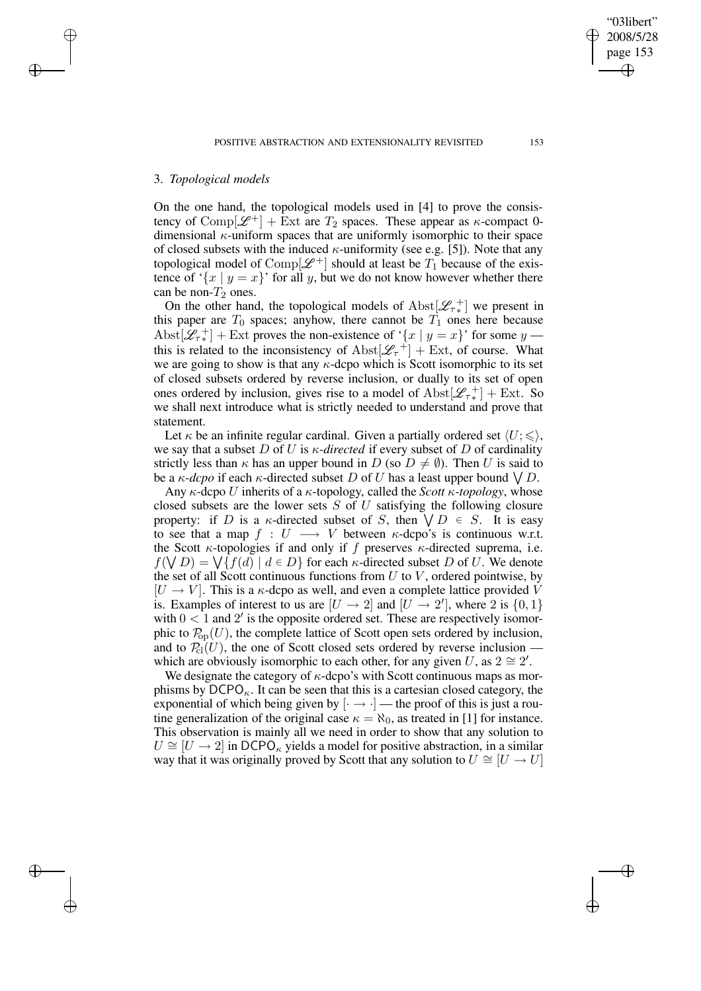## 3. *Topological models*

 $\rightarrow$ 

✐

✐

✐

On the one hand, the topological models used in [4] to prove the consistency of Comp[ $\mathscr{L}^+$ ] + Ext are  $T_2$  spaces. These appear as  $\kappa$ -compact 0dimensional  $\kappa$ -uniform spaces that are uniformly isomorphic to their space of closed subsets with the induced  $\kappa$ -uniformity (see e.g. [5]). Note that any topological model of Comp[ $\mathscr{L}^+$ ] should at least be  $T_1$  because of the existence of ' $\{x \mid y = x\}$ ' for all y, but we do not know however whether there can be non- $T_2$  ones.

On the other hand, the topological models of  $\text{Abst}[\mathscr{L}_{\tau^*}]$  we present in this paper are  $T_0$  spaces; anyhow, there cannot be  $T_1$  ones here because Abst $[\mathcal{L}_{\tau^*}]$  + Ext proves the non-existence of '{x | y = x}' for some y this is related to the inconsistency of  $\text{Abst}[\mathscr{L}_\tau^+] + \text{Ext}$ , of course. What we are going to show is that any  $\kappa$ -dcpo which is Scott isomorphic to its set of closed subsets ordered by reverse inclusion, or dually to its set of open ones ordered by inclusion, gives rise to a model of  $\text{Abst}[\mathscr{L}_{\tau*}^+] + \text{Ext. So}$ we shall next introduce what is strictly needed to understand and prove that statement.

Let  $\kappa$  be an infinite regular cardinal. Given a partially ordered set  $\langle U; \leq \rangle$ , we say that a subset D of U is  $\kappa$ -directed if every subset of D of cardinality strictly less than  $\kappa$  has an upper bound in D (so  $D \neq \emptyset$ ). Then U is said to be a  $\kappa$ -*dcpo* if each  $\kappa$ -directed subset D of U has a least upper bound  $\bigvee D$ .

Any κ-dcpo U inherits of a κ-topology, called the *Scott* κ*-topology*, whose closed subsets are the lower sets  $S$  of  $U$  satisfying the following closure property: if D is a  $\kappa$ -directed subset of S, then  $\forall D \in S$ . It is easy to see that a map  $f : U \longrightarrow V$  between  $\kappa$ -dcpo's is continuous w.r.t. the Scott  $\kappa$ -topologies if and only if f preserves  $\kappa$ -directed suprema, i.e.  $f(\bigvee D) = \bigvee \{ f(d) \mid d \in D \}$  for each *κ*-directed subset D of U. We denote the set of all Scott continuous functions from  $U$  to  $V$ , ordered pointwise, by  $[U \rightarrow V]$ . This is a  $\kappa$ -dcpo as well, and even a complete lattice provided V is. Examples of interest to us are  $[U \rightarrow 2]$  and  $[U \rightarrow 2']$ , where 2 is  $\{0,1\}$ with  $0 < 1$  and  $2'$  is the opposite ordered set. These are respectively isomorphic to  $\mathcal{P}_{\text{op}}(U)$ , the complete lattice of Scott open sets ordered by inclusion, and to  $\mathcal{P}_{\text{cl}}(U)$ , the one of Scott closed sets ordered by reverse inclusion which are obviously isomorphic to each other, for any given U, as  $2 \approx 2'$ .

We designate the category of  $\kappa$ -dcpo's with Scott continuous maps as morphisms by  $DCPO<sub>6</sub>$ . It can be seen that this is a cartesian closed category, the exponential of which being given by  $\left[\cdot \rightarrow \cdot\right]$  — the proof of this is just a routine generalization of the original case  $\kappa = \aleph_0$ , as treated in [1] for instance. This observation is mainly all we need in order to show that any solution to  $U \cong [U \rightarrow 2]$  in DCPO<sub>K</sub> yields a model for positive abstraction, in a similar way that it was originally proved by Scott that any solution to  $U \cong [U \rightarrow U]$ 

✐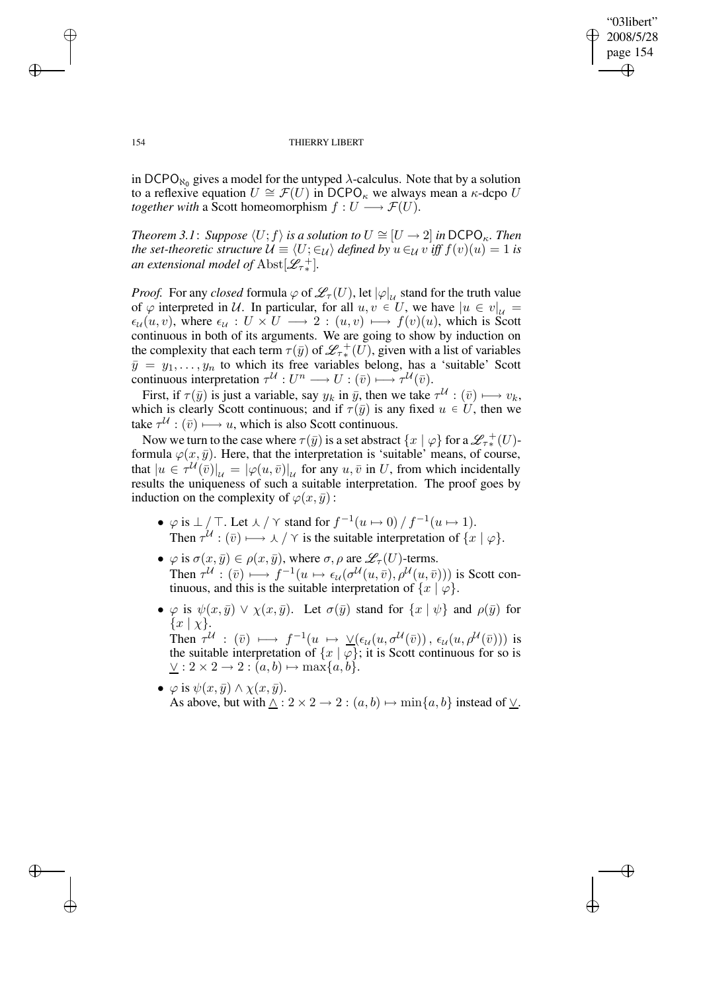✐

#### 154 THIERRY LIBERT

in DCPO<sub>N<sub>0</sub></sub> gives a model for the untyped  $\lambda$ -calculus. Note that by a solution to a reflexive equation  $U \cong \mathcal{F}(U)$  in DCPO<sub>κ</sub> we always mean a  $\kappa$ -dcpo U *together with* a Scott homeomorphism  $f: U \longrightarrow \mathcal{F}(U)$ .

*Theorem* 3.1: *Suppose*  $\langle U; f \rangle$  *is a solution to*  $U \cong [U \rightarrow 2]$  *in* DCPO<sub>K</sub>. *Then the set-theoretic structure*  $\mathcal{U} \equiv \langle U; \in_{\mathcal{U}} \rangle$  *defined by*  $u \in_{\mathcal{U}} v$  *iff*  $f(v)(u) = 1$  *is an extensional model of*  $\text{Abst}[\mathscr{L}_{\tau\ast}^+]$ .

*Proof.* For any *closed* formula  $\varphi$  of  $\mathscr{L}_{\tau}(U)$ , let  $|\varphi|_{\mathcal{U}}$  stand for the truth value of  $\varphi$  interpreted in U. In particular, for all  $u, v \in U$ , we have  $|u \in v|_{\mathcal{U}} =$  $\epsilon_{\mathcal{U}}(u, v)$ , where  $\epsilon_{\mathcal{U}} : U \times U \longrightarrow 2 : (u, v) \longmapsto f(v)(u)$ , which is Scott continuous in both of its arguments. We are going to show by induction on the complexity that each term  $\tau(\bar{y})$  of  $\mathscr{L}^+_{\tau^*}(U)$ , given with a list of variables  $\bar{y} = y_1, \ldots, y_n$  to which its free variables belong, has a 'suitable' Scott continuous interpretation  $\tau^{\mathcal{U}}: U^n \longrightarrow U : (\bar{v}) \longmapsto \tau^{\mathcal{U}}(\bar{v}).$ 

First, if  $\tau(\bar{y})$  is just a variable, say  $y_k$  in  $\bar{y}$ , then we take  $\tau^{\mathcal{U}} : (\bar{v}) \longmapsto v_k$ , which is clearly Scott continuous; and if  $\tau(\bar{y})$  is any fixed  $u \in U$ , then we take  $\tau^{\mathcal{U}} : (\bar{v}) \longrightarrow u$ , which is also Scott continuous.

Now we turn to the case where  $\tau(\bar{y})$  is a set abstract  $\{x \mid \varphi\}$  for a  ${\mathscr L}^{-+}_{\tau*}(U)$ formula  $\varphi(x, \bar{y})$ . Here, that the interpretation is 'suitable' means, of course, that  $|u \in \tau^{\mathcal{U}}(\overline{v})|_{\mathcal{U}} = |\varphi(u,\overline{v})|_{\mathcal{U}}$  for any  $u, \overline{v}$  in U, from which incidentally results the uniqueness of such a suitable interpretation. The proof goes by induction on the complexity of  $\varphi(x, \bar{y})$ :

- $\varphi$  is  $\perp/\top$ . Let  $\lambda/\Upsilon$  stand for  $f^{-1}(u \mapsto 0)/f^{-1}(u \mapsto 1)$ . Then  $\tau^{\mathcal{U}} : (\bar{v}) \longmapsto \lambda / \gamma$  is the suitable interpretation of  $\{x \mid \varphi\}.$
- $\varphi$  is  $\sigma(x,\bar{y}) \in \rho(x,\bar{y})$ , where  $\sigma, \rho$  are  $\mathscr{L}_{\tau}(U)$ -terms. Then  $\tau^{\mathcal{U}}:(\bar{v})\longmapsto f^{-1}(u\mapsto \epsilon_{\mathcal{U}}(\sigma^{\mathcal{U}}(u,\bar{v}),\rho^{\mathcal{U}}(u,\bar{v})))$  is Scott continuous, and this is the suitable interpretation of  $\{x \mid \varphi\}.$
- $\varphi$  is  $\psi(x,\bar{y}) \vee \chi(x,\bar{y})$ . Let  $\sigma(\bar{y})$  stand for  $\{x \mid \psi\}$  and  $\rho(\bar{y})$  for  $\{x \mid \chi\}.$ Then  $\tau^{\mathcal{U}}$  :  $(\bar{v}) \longmapsto f^{-1}(u \mapsto \vee (\epsilon_{\mathcal{U}}(u, \sigma^{\mathcal{U}}(\bar{v})), \epsilon_{\mathcal{U}}(u, \rho^{\mathcal{U}}(\bar{v})))$  is the suitable interpretation of  $\{x \mid \varphi\}$ ; it is Scott continuous for so is  $\underline{\vee}: 2 \times 2 \rightarrow 2 : (a, b) \mapsto \max\{a, b\}.$
- $\varphi$  is  $\psi(x,\bar{y}) \wedge \chi(x,\bar{y})$ . As above, but with  $\wedge$  : 2 × 2 → 2 :  $(a, b) \mapsto \min\{a, b\}$  instead of  $\vee$ .

 $\rightarrow$ 

✐

✐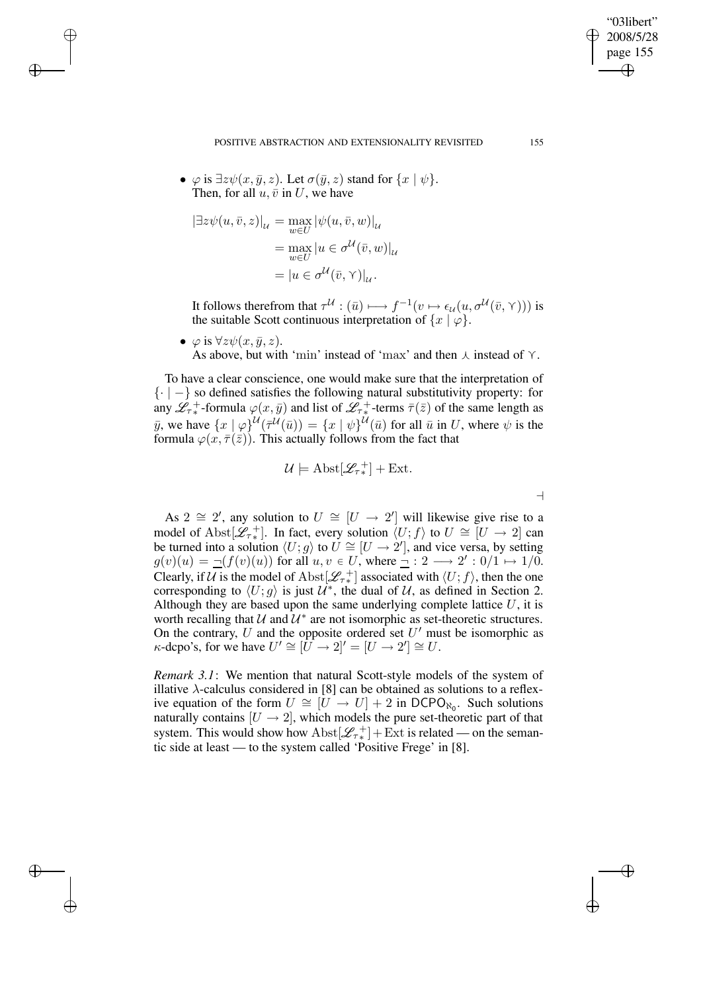POSITIVE ABSTRACTION AND EXTENSIONALITY REVISITED 155

•  $\varphi$  is  $\exists z \psi(x, \bar{y}, z)$ . Let  $\sigma(\bar{y}, z)$  stand for  $\{x \mid \psi\}$ . Then, for all  $u, \bar{v}$  in U, we have

$$
\left[\exists z \psi(u, \bar{v}, z)\right]_{\mathcal{U}} = \max_{w \in U} \left| \psi(u, \bar{v}, w) \right|_{\mathcal{U}} \n= \max_{w \in U} \left| u \in \sigma^{\mathcal{U}}(\bar{v}, w) \right|_{\mathcal{U}} \n= \left| u \in \sigma^{\mathcal{U}}(\bar{v}, \gamma) \right|_{\mathcal{U}}.
$$

 $\rightarrow$ 

✐

✐

✐

It follows therefrom that  $\tau^{\mathcal{U}} : (\bar{u}) \longmapsto f^{-1}(v \mapsto \epsilon_{\mathcal{U}}(u, \sigma^{\mathcal{U}}(\bar{v}, \gamma)))$  is the suitable Scott continuous interpretation of  $\{x \mid \varphi\}.$ 

•  $\varphi$  is  $\forall z \psi(x, \bar{y}, z)$ . As above, but with 'min' instead of 'max' and then  $\lambda$  instead of  $\gamma$ .

To have a clear conscience, one would make sure that the interpretation of  $\{- \}$  so defined satisfies the following natural substitutivity property: for any  $\mathscr{L}_{\tau*}^+$ -formula  $\varphi(x,\bar{y})$  and list of  $\mathscr{L}_{\tau*}^+$ -terms  $\bar{\tau}(\bar{z})$  of the same length as y, we have  $\{x \mid \varphi\}^{\mathcal{U}}(\bar{\tau}^{\mathcal{U}}(\bar{u})) = \{x \mid \psi\}^{\mathcal{U}}(\bar{u})$  for all  $\bar{u}$  in U, where  $\psi$  is the formula  $\varphi(x,\overline{\tau}(\overline{z}))$ . This actually follows from the fact that

$$
\mathcal{U} \models \text{Abst}[\mathscr{L}_{\tau*}^+] + \text{Ext}.
$$

 $\overline{\phantom{a}}$ 

As 2  $\cong$  2', any solution to  $U \cong [U \rightarrow 2']$  will likewise give rise to a model of Abst $[\mathscr{L}_{\tau^*}]$ . In fact, every solution  $\langle U; f \rangle$  to  $U \cong [U \to 2]$  can be turned into a solution  $\langle U; g \rangle$  to  $\tilde{U} \cong [U \to 2']$ , and vice versa, by setting  $g(v)(u) = \underline{\neg}(f(v)(u))$  for all  $u, v \in U$ , where  $\underline{\neg}$  :  $2 \longrightarrow 2' : 0/1 \mapsto 1/0$ . Clearly, if U is the model of Abst $[\mathcal{L}_{\tau^*}]$  associated with  $\langle U; f \rangle$ , then the one corresponding to  $\langle U; g \rangle$  is just  $\mathcal{U}^*$ , the dual of  $\mathcal{U}$ , as defined in Section 2. Although they are based upon the same underlying complete lattice  $U$ , it is worth recalling that  $U$  and  $U^*$  are not isomorphic as set-theoretic structures. On the contrary, U and the opposite ordered set  $U'$  must be isomorphic as  $\kappa$ -dcpo's, for we have  $U' \cong [U \to 2]' = [U \to 2'] \cong U$ .

*Remark 3.1*: We mention that natural Scott-style models of the system of illative  $\lambda$ -calculus considered in [8] can be obtained as solutions to a reflexive equation of the form  $U \cong [U \to U] + 2$  in DCPO<sub>N<sub>0</sub></sub>. Such solutions naturally contains  $[U \rightarrow 2]$ , which models the pure set-theoretic part of that system. This would show how  $\text{Abst}[\mathcal{L}_{\tau*}^+] + \text{Ext}$  is related — on the semantic side at least — to the system called 'Positive Frege' in [8].

"03libert" 2008/5/28 page 155

✐

✐

✐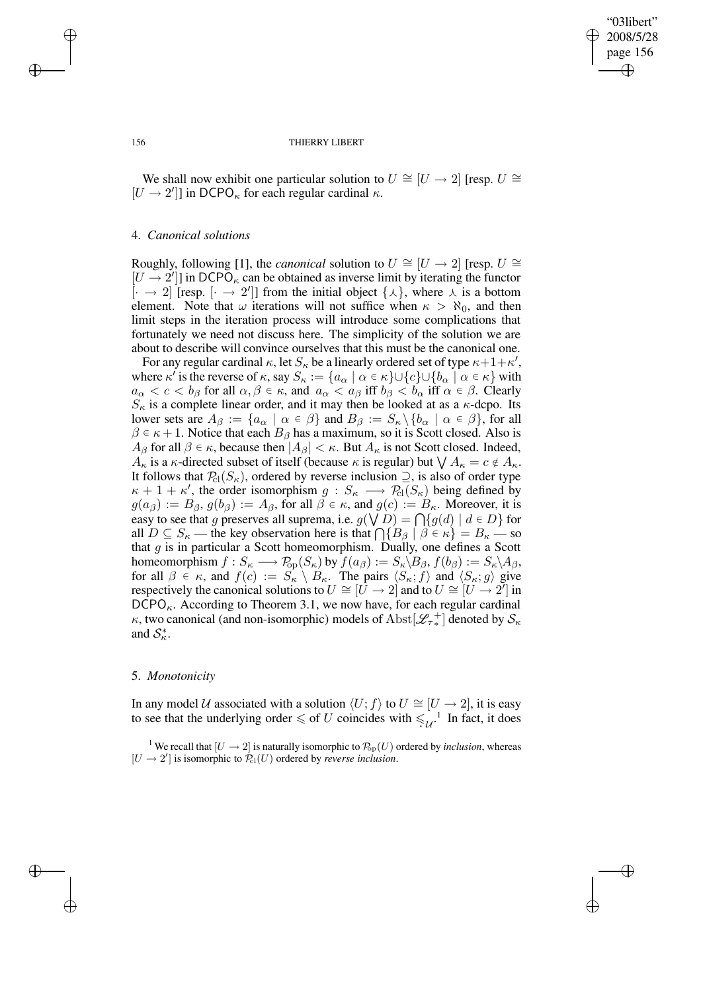✐

#### 156 THIERRY LIBERT

We shall now exhibit one particular solution to  $U \cong [U \rightarrow 2]$  [resp.  $U \cong$  $[U \rightarrow 2']$ ] in DCPO<sub> $\kappa$ </sub> for each regular cardinal  $\kappa$ .

## 4. *Canonical solutions*

Roughly, following [1], the *canonical* solution to  $U \cong [U \rightarrow 2]$  [resp.  $U \cong$  $[U \rightarrow 2^{\prime}]$ ] in DCPO<sub>K</sub> can be obtained as inverse limit by iterating the functor  $\left[\cdot \rightarrow 2\right]$  [resp.  $\left[\cdot \rightarrow 2'\right]$ ] from the initial object  $\{\lambda\}$ , where  $\lambda$  is a bottom element. Note that  $\omega$  iterations will not suffice when  $\kappa > \aleph_0$ , and then limit steps in the iteration process will introduce some complications that fortunately we need not discuss here. The simplicity of the solution we are about to describe will convince ourselves that this must be the canonical one.

For any regular cardinal  $\kappa$ , let  $S_{\kappa}$  be a linearly ordered set of type  $\kappa+1+\kappa'$ , where  $\kappa'$  is the reverse of  $\kappa$ , say  $S_{\kappa} := \{a_{\alpha} \mid \alpha \in \kappa\} \cup \{c\} \cup \{b_{\alpha} \mid \alpha \in \kappa\}$  with  $a_{\alpha} < c < b_{\beta}$  for all  $\alpha, \beta \in \kappa$ , and  $a_{\alpha} < a_{\beta}$  iff  $b_{\beta} < b_{\alpha}$  iff  $\alpha \in \beta$ . Clearly  $S_{\kappa}$  is a complete linear order, and it may then be looked at as a  $\kappa$ -dcpo. Its lower sets are  $A_{\beta} := \{a_{\alpha} \mid \alpha \in \beta\}$  and  $B_{\beta} := S_{\kappa} \setminus \{b_{\alpha} \mid \alpha \in \beta\}$ , for all  $\beta \in \kappa + 1$ . Notice that each  $B_\beta$  has a maximum, so it is Scott closed. Also is  $A_{\beta}$  for all  $\beta \in \kappa$ , because then  $|A_{\beta}| < \kappa$ . But  $A_{\kappa}$  is not Scott closed. Indeed,  $A_{\kappa}$  is a  $\kappa$ -directed subset of itself (because  $\kappa$  is regular) but  $\bigvee A_{\kappa} = c \notin A_{\kappa}$ . It follows that  $P_{\text{cl}}(S_{\kappa})$ , ordered by reverse inclusion  $\supseteq$ , is also of order type  $\kappa + 1 + \kappa'$ , the order isomorphism  $g : S_{\kappa} \longrightarrow \mathcal{P}_{\text{cl}}(S_{\kappa})$  being defined by  $g(a_{\beta}) := B_{\beta}, g(b_{\beta}) := A_{\beta}$ , for all  $\beta \in \kappa$ , and  $g(c) := B_{\kappa}$ . Moreover, it is easy to see that g preserves all suprema, i.e.  $g(\forall D) = \bigcap \{g(d) \mid d \in D\}$  for all  $D \subseteq S_{\kappa}$  — the key observation here is that  $\bigcap \{B_{\beta} \mid \beta \in \kappa\} = B_{\kappa}$  — so that  $g$  is in particular a Scott homeomorphism. Dually, one defines a Scott homeomorphism  $f: S_{\kappa} \longrightarrow P_{\text{op}}(S_{\kappa})$  by  $f(a_{\beta}) := S_{\kappa} \setminus B_{\beta}, f(b_{\beta}) := S_{\kappa} \setminus A_{\beta}$ , for all  $\beta \in \kappa$ , and  $f(c) := S_{\kappa} \setminus B_{\kappa}$ . The pairs  $\langle S_{\kappa}; f \rangle$  and  $\langle S_{\kappa}; g \rangle$  give respectively the canonical solutions to  $U \cong [U \to 2]$  and to  $U \cong [U \to 2']$  in  $DCPO<sub>κ</sub>$ . According to Theorem 3.1, we now have, for each regular cardinal  $\kappa$ , two canonical (and non-isomorphic) models of  $\text{Abst}[\mathscr{L}_{\tau*}^+]$  denoted by  $\mathcal{S}_\kappa$ and  $S^*_{\kappa}$ .

### 5. *Monotonicity*

In any model U associated with a solution  $\langle U; f \rangle$  to  $U \cong [U \rightarrow 2]$ , it is easy to see that the underlying order  $\leq$  of U coincides with  $\leq \frac{1}{u}$ . In fact, it does

<sup>1</sup> We recall that  $[U \to 2]$  is naturally isomorphic to  $\mathcal{P}_{\text{op}}(U)$  ordered by *inclusion*, whereas  $[U \rightarrow 2']$  is isomorphic to  $\mathcal{P}_{\text{cl}}(U)$  ordered by *reverse inclusion*.

 $\rightarrow$ 

✐

✐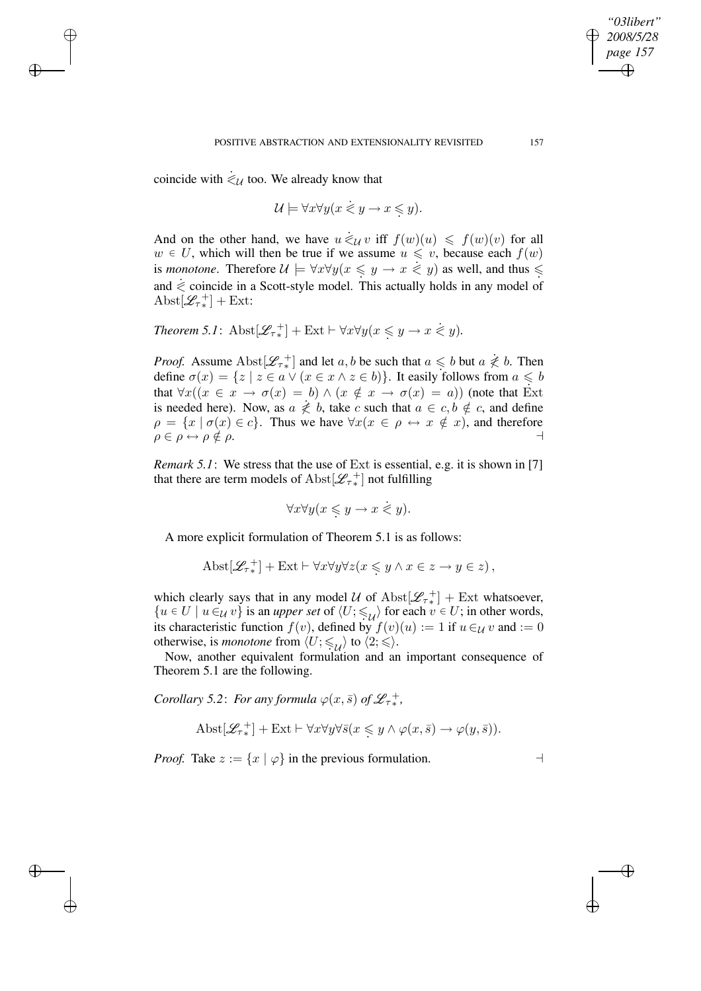coincide with  $\dot{\leq}_{\mathcal{U}}$  too. We already know that

 $\rightarrow$ 

✐

✐

✐

$$
\mathcal{U} \models \forall x \forall y (x \leq y \rightarrow x \leq y).
$$

And on the other hand, we have  $u \neq_{\mathcal{U}} v$  iff  $f(w)(u) \leq f(w)(v)$  for all  $w \in U$ , which will then be true if we assume  $u \leq v$ , because each  $f(w)$ is *monotone*. Therefore  $\mathcal{U} \models \forall x \forall y (x \leq y \rightarrow x \leq y)$  as well, and thus  $\leq$ . and  $\leq$  coincide in a Scott-style model. This actually holds in any model of  $\text{Abst}[\mathscr{L}_{\tau*}^+] + \text{Ext}:$ 

Theorem 5.1: 
$$
\text{Abst}[\mathscr{L}_{\tau_*}^+]
$$
 + Ext  $\vdash \forall x \forall y (x \leq y \rightarrow x \leq y)$ .

*Proof.* Assume  $\text{Abst}[\mathcal{L}_{\tau^*}]$  and let  $a, b$  be such that  $a \leq b$  but  $a \not\leq b$ . Then define  $\sigma(x) = \{z \mid z \in a \lor (x \in x \land z \in b)\}\)$ . It easily follows from  $a \leq b$ . that  $\forall x((x \in x \rightarrow \sigma(x) = b) \land (x \notin x \rightarrow \sigma(x) = a))$  (note that Ext is needed here). Now, as  $a \neq b$ , take c such that  $a \in c, b \notin c$ , and define  $\rho = \{x \mid \sigma(x) \in c\}$ . Thus we have  $\forall x (x \in \rho \leftrightarrow x \notin x)$ , and therefore  $\rho \in \rho \leftrightarrow \rho \notin \rho$ .

*Remark 5.1*: We stress that the use of Ext is essential, e.g. it is shown in [7] that there are term models of  $\text{Abst}[\mathscr{L}_{\tau*}^+]$  not fulfilling

$$
\forall x \forall y (x \leq y \rightarrow x \stackrel{\cdot}{\leq} y).
$$

A more explicit formulation of Theorem 5.1 is as follows:

$$
A b s t \left[ \mathcal{L}_{\tau^*}^+ \right] + \text{Ext} \vdash \forall x \forall y \forall z (x \leq y \land x \in z \to y \in z),
$$

which clearly says that in any model  $\mathcal U$  of  $\mathrm{Abst}[\mathscr{L}_{\tau_*}^+] + \mathrm{Ext}$  whatsoever,  ${u \in U \mid u \in_{\mathcal{U}} v}$  is an *upper set* of  $\langle U; \leq_{\mathcal{U}} \rangle$  for each  $v \in U$ ; in other words, its characteristic function  $f(v)$ , defined by  $f(v)(u) := 1$  if  $u \in \mathcal{U} v$  and  $:= 0$ otherwise, is *monotone* from  $\langle U; \leqslant_{\mathcal{U}} \rangle$  to  $\langle 2; \leqslant \rangle$ .

Now, another equivalent formulation and an important consequence of Theorem 5.1 are the following.

*Corollary* 5.2: *For any formula*  $\varphi(x,\bar{s})$  *of*  $\mathscr{L}_{\tau^*}^+$ ,

$$
\text{Abst}[\mathscr{L}_{\tau*}^+] + \text{Ext} \vdash \forall x \forall y \forall \bar{s}(x \leq y \land \varphi(x, \bar{s}) \to \varphi(y, \bar{s})).
$$

*Proof.* Take  $z := \{x \mid \varphi\}$  in the previous formulation.

*"03libert" 2008/5/28 page 157*

✐

✐

✐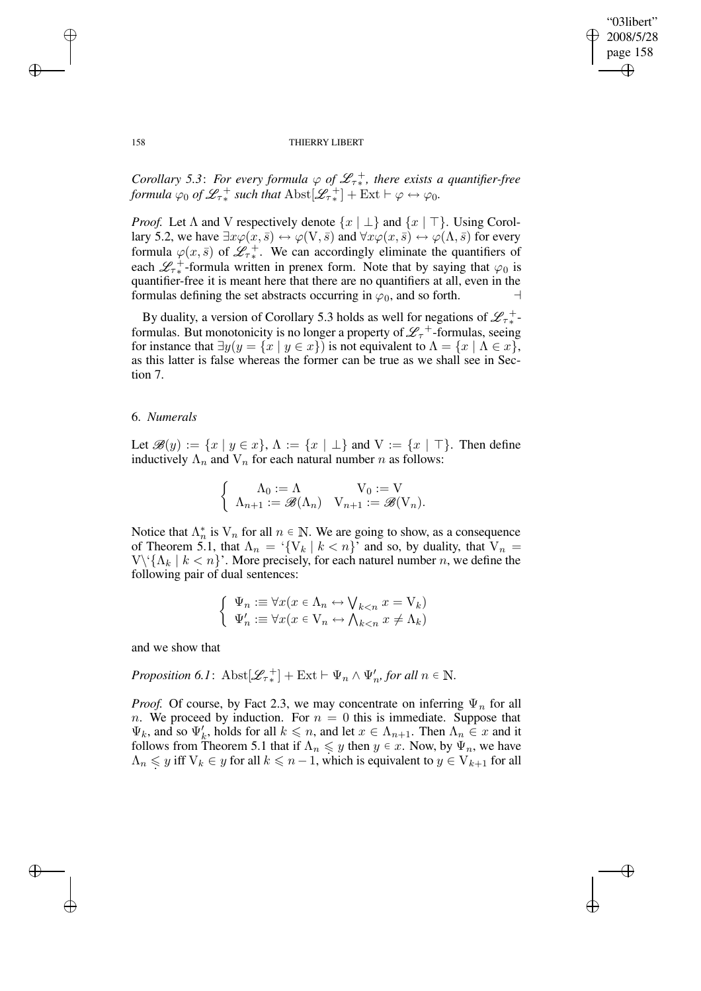✐

#### 158 THIERRY LIBERT

*Corollary* 5.3: For every formula  $\varphi$  of  $\mathscr{L}_{\tau *}^+$ , there exists a quantifier-free *formula*  $\varphi_0$  *of*  $\mathscr{L}_{\tau^*}^+$  *such that*  $\text{Abst}[\mathscr{L}_{\tau^*}^+] + \text{Ext} \vdash \varphi \leftrightarrow \varphi_0$ *.* 

*Proof.* Let  $\Lambda$  and V respectively denote  $\{x \mid \bot\}$  and  $\{x \mid \top\}$ . Using Corollary 5.2, we have  $\exists x \varphi(x, \bar{s}) \leftrightarrow \varphi(V, \bar{s})$  and  $\forall x \varphi(x, \bar{s}) \leftrightarrow \varphi(\Lambda, \bar{s})$  for every formula  $\varphi(x,\bar{s})$  of  $\mathscr{L}_{\tau^*}^+$ . We can accordingly eliminate the quantifiers of each  $\mathscr{L}_{\tau*}^+$ -formula written in prenex form. Note that by saying that  $\varphi_0$  is quantifier-free it is meant here that there are no quantifiers at all, even in the formulas defining the set abstracts occurring in  $\varphi_0$ , and so forth.

By duality, a version of Corollary 5.3 holds as well for negations of  $\mathscr{L}_{\tau*}^+$ formulas. But monotonicity is no longer a property of  $\mathscr{L}_{\tau}^+$ -formulas, seeing for instance that  $\exists y(y = \{x \mid y \in x\})$  is not equivalent to  $\Lambda = \{x \mid \Lambda \in x\}$ , as this latter is false whereas the former can be true as we shall see in Section 7.

## 6. *Numerals*

Let  $\mathscr{B}(y) := \{x \mid y \in x\}, \Lambda := \{x \mid \perp\}$  and  $V := \{x \mid \top\}.$  Then define inductively  $\Lambda_n$  and  $V_n$  for each natural number n as follows:

$$
\begin{cases} \Lambda_0 := \Lambda & V_0 := V \\ \Lambda_{n+1} := \mathscr{B}(\Lambda_n) & V_{n+1} := \mathscr{B}(V_n). \end{cases}
$$

Notice that  $\Lambda_n^*$ \* is  $V_n$  for all  $n \in \mathbb{N}$ . We are going to show, as a consequence of Theorem 5.1, that  $\Lambda_n = \{V_k | k \lt n\}$  and so, by duality, that  $V_n =$  $V\setminus {\{\Lambda_k | k < n\}}$ . More precisely, for each naturel number n, we define the following pair of dual sentences:

$$
\begin{cases} \Psi_n := \forall x (x \in \Lambda_n \leftrightarrow \bigvee_{k < n} x = V_k) \\ \Psi'_n := \forall x (x \in V_n \leftrightarrow \bigwedge_{k < n} x \neq \Lambda_k) \end{cases}
$$

and we show that

*Proposition 6.1*: 
$$
\text{Abst}[\mathscr{L}_{\tau*}^+]
$$
 + Ext  $\vdash \Psi_n \wedge \Psi'_n$ , for all  $n \in \mathbb{N}$ .

*Proof.* Of course, by Fact 2.3, we may concentrate on inferring  $\Psi_n$  for all n. We proceed by induction. For  $n = 0$  this is immediate. Suppose that  $\Psi_k$ , and so  $\Psi'_k$ , holds for all  $k \leq n$ , and let  $x \in \Lambda_{n+1}$ . Then  $\Lambda_n \in x$  and it follows from Theorem 5.1 that if  $\Lambda_n \leq y$  then  $y \in x$ . Now, by  $\Psi_n$ , we have  $\Lambda_n \leq y$  iff  $V_k \in y$  for all  $k \leq n-1$ , which is equivalent to  $y \in V_{k+1}$  for all

 $\rightarrow$ 

✐

✐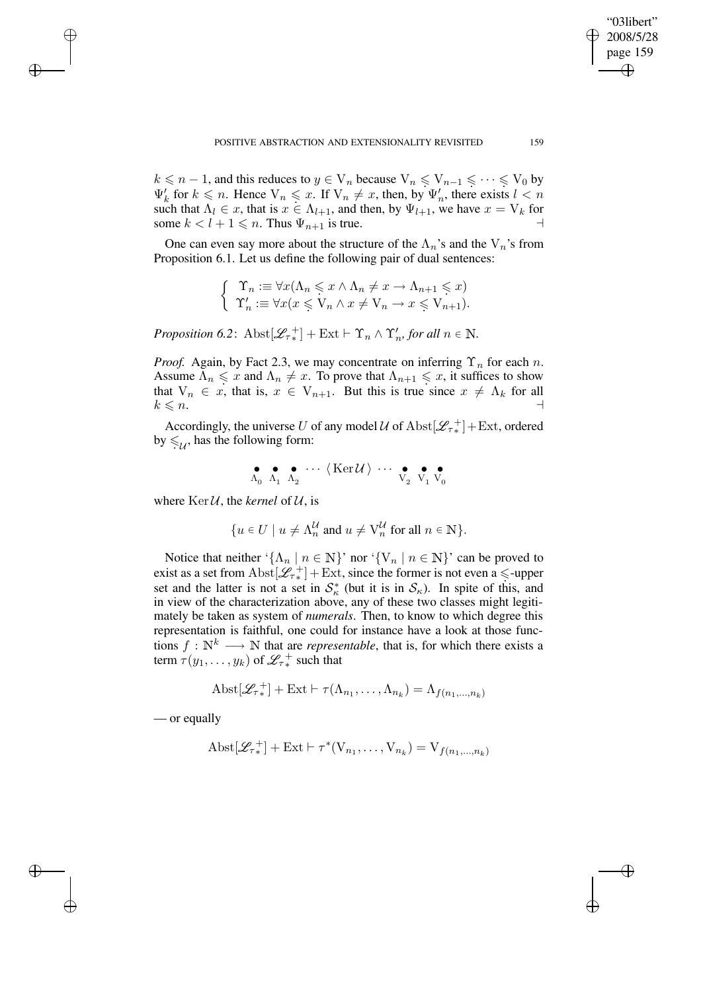$k \le n - 1$ , and this reduces to  $y \in V_n$  because  $V_n \le V_{n-1} \le \cdots \le V_0$  by  $\Psi'_k$  for  $k \leq n$ . Hence  $V_n \leq x$ . If  $V_n \neq x$ , then, by  $\Psi'_n$ , there exists  $l < n$ such that  $\Lambda_l \in x$ , that is  $x \in \Lambda_{l+1}$ , and then, by  $\Psi_{l+1}$ , we have  $x = V_k$  for some  $k < l + 1 \leq n$ . Thus  $\Psi_{n+1}$  is true.

One can even say more about the structure of the  $\Lambda_n$ 's and the  $V_n$ 's from Proposition 6.1. Let us define the following pair of dual sentences:

$$
\begin{cases} \Upsilon_n := \forall x (\Lambda_n \leq x \land \Lambda_n \neq x \to \Lambda_{n+1} \leq x) \\ \Upsilon'_n := \forall x (x \leq V_n \land x \neq V_n \to x \leq V_{n+1}). \end{cases}
$$

*Proposition* 6.2:  $\text{Abst}[\mathscr{L}_{\tau_*}^+] + \text{Ext} \vdash \Upsilon_n \wedge \Upsilon'_n$ , for all  $n \in \mathbb{N}$ .

*Proof.* Again, by Fact 2.3, we may concentrate on inferring  $\Upsilon_n$  for each n. Assume  $\Lambda_n \leq x$  and  $\Lambda_n \neq x$ . To prove that  $\Lambda_{n+1} \leq x$ , it suffices to show that  $V_n \in x$ , that is,  $x \in V_{n+1}$ . But this is true since  $x \neq \Lambda_k$  for all  $k \leqslant n$ .

Accordingly, the universe U of any model U of  $\text{Abst}[\mathscr{L}_{\tau*}^+] + \text{Ext}$ , ordered by  $\leqslant_{\mathcal{U}}$ , has the following form:

$$
\begin{array}{cccccc} \bullet & \bullet & \bullet & \cdots & \langle \operatorname{Ker} {\mathcal U} \rangle & \cdots & \bullet & \bullet \\ \Lambda_0 & \Lambda_1 & \Lambda_2 & & & \hline \end{array}
$$

where  $\text{Ker}\,\mathcal{U}$ , the *kernel* of  $\mathcal{U}$ , is

$$
\{u \in U \mid u \neq \Lambda_n^{\mathcal{U}} \text{ and } u \neq \mathrm{V}_n^{\mathcal{U}} \text{ for all } n \in \mathbb{N}\}.
$$

Notice that neither ' $\{\Lambda_n \mid n \in \mathbb{N}\}$ ' nor ' $\{V_n \mid n \in \mathbb{N}\}$ ' can be proved to exist as a set from  $\text{Abst}[\mathcal{L}_{\tau_*}^+] + \text{Ext}$ , since the former is not even a  $\leq$ -upper set and the latter is not a set in  $S_{\kappa}^*$  (but it is in  $S_{\kappa}$ ). In spite of this, and in view of the characterization above, any of these two classes might legitimately be taken as system of *numerals*. Then, to know to which degree this representation is faithful, one could for instance have a look at those functions  $f: \mathbb{N}^k \longrightarrow \mathbb{N}$  that are *representable*, that is, for which there exists a term  $\tau(y_1,\ldots,y_k)$  of  $\mathscr{L}_{\tau\ast}^+$  such that

$$
Abst[\mathcal{L}_{\tau*}^+] + Ext \vdash \tau(\Lambda_{n_1}, \ldots, \Lambda_{n_k}) = \Lambda_{f(n_1, \ldots, n_k)}
$$

— or equally

 $\rightarrow$ 

✐

✐

✐

$$
A \text{bst}[\mathcal{L}_{\tau_*}^+] + \text{Ext} \vdash \tau^*(V_{n_1}, \dots, V_{n_k}) = V_{f(n_1, \dots, n_k)}
$$

"03libert" 2008/5/28 page 159

✐

✐

✐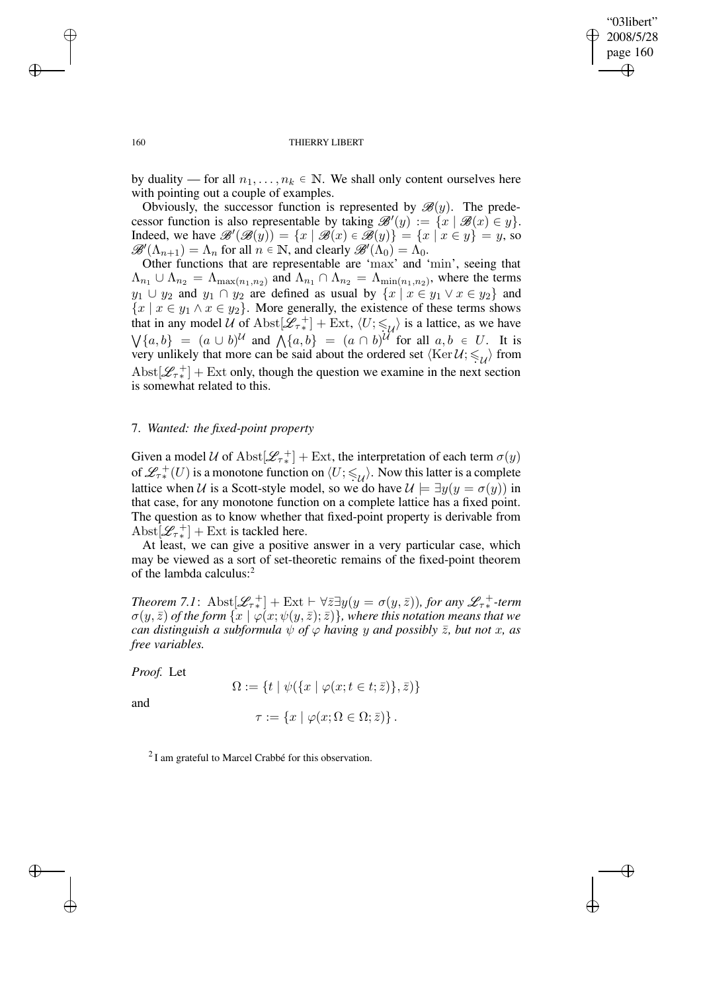✐

#### 160 THIERRY LIBERT

by duality — for all  $n_1, \ldots, n_k \in \mathbb{N}$ . We shall only content ourselves here with pointing out a couple of examples.

Obviously, the successor function is represented by  $\mathscr{B}(y)$ . The predecessor function is also representable by taking  $\mathscr{B}'(y) := \{x \mid \mathscr{B}(x) \in y\}.$ Indeed, we have  $\mathscr{B}'(\mathscr{B}(y)) = \{x \mid \mathscr{B}(x) \in \mathscr{B}(y)\} = \{x \mid x \in y\} = y$ , so  $\mathscr{B}'(\Lambda_{n+1}) = \Lambda_n$  for all  $n \in \mathbb{N}$ , and clearly  $\mathscr{B}'(\Lambda_0) = \Lambda_0$ .

Other functions that are representable are 'max' and 'min', seeing that  $\Lambda_{n_1} \cup \Lambda_{n_2} = \Lambda_{\max(n_1,n_2)}$  and  $\Lambda_{n_1} \cap \Lambda_{n_2} = \Lambda_{\min(n_1,n_2)}$ , where the terms  $y_1 \cup y_2$  and  $y_1 \cap y_2$  are defined as usual by  $\{x \mid x \in y_1 \lor x \in y_2\}$  and  ${x \mid x \in y_1 \land x \in y_2}$ . More generally, the existence of these terms shows that in any model U of Abst $[\mathcal{L}_{\tau^*}^+]$  + Ext,  $\langle U; \leq \check{U}_t \rangle$  is a lattice, as we have  $\bigvee \{a, b\} = (a \cup b)^{\mathcal{U}}$  and  $\bigwedge \{a, b\} = (a \cap b)^{\mathcal{U}}$  for all  $a, b \in U$ . It is very unlikely that more can be said about the ordered set  $\langle \text{Ker } U; \leqslant_{\mathcal{U}} \rangle$  from Abst $[\mathcal{L}_{\tau^*}]$  + Ext only, though the question we examine in the next section is somewhat related to this.

### 7. *Wanted: the fixed-point property*

Given a model U of  $\text{Abst}[\mathscr{L}_{\tau_*}^+] + \text{Ext}$ , the interpretation of each term  $\sigma(y)$ of  $\mathscr{L}_{\tau^*}(U)$  is a monotone function on  $\langle U; \leqslant_{\mathcal{U}} \rangle$ . Now this latter is a complete lattice when U is a Scott-style model, so we do have  $\mathcal{U} \models \exists y(y = \sigma(y))$  in that case, for any monotone function on a complete lattice has a fixed point. The question as to know whether that fixed-point property is derivable from Abst $[\mathscr{L}_{\tau^*}^+]$  + Ext is tackled here.

At least, we can give a positive answer in a very particular case, which may be viewed as a sort of set-theoretic remains of the fixed-point theorem of the lambda calculus:<sup>2</sup>

*Theorem* 7.1:  $\text{Abst}[\mathscr{L}_{\tau^*}] + \text{Ext} \vdash \forall \bar{z} \exists y (y = \sigma(y, \bar{z}))$ *, for any*  $\mathscr{L}_{\tau^*}^+$ -term  $\sigma(y,\bar{z})$  *of the form*  $\{x \mid \varphi(x;\psi(y,\bar{z});\bar{z})\}$ *, where this notation means that we can distinguish a subformula*  $\psi$  *of*  $\varphi$  *having y and possibly*  $\bar{z}$ *, but not x, as free variables.*

*Proof.* Let

and

✐

✐

$$
\Omega := \{ t \mid \psi(\{ x \mid \varphi(x; t \in t; \bar{z}) \}, \bar{z}) \}
$$

$$
\tau := \{ x \mid \varphi(x; \Omega \in \Omega; \bar{z}) \}.
$$

 $2$ I am grateful to Marcel Crabbé for this observation.

 $\rightarrow$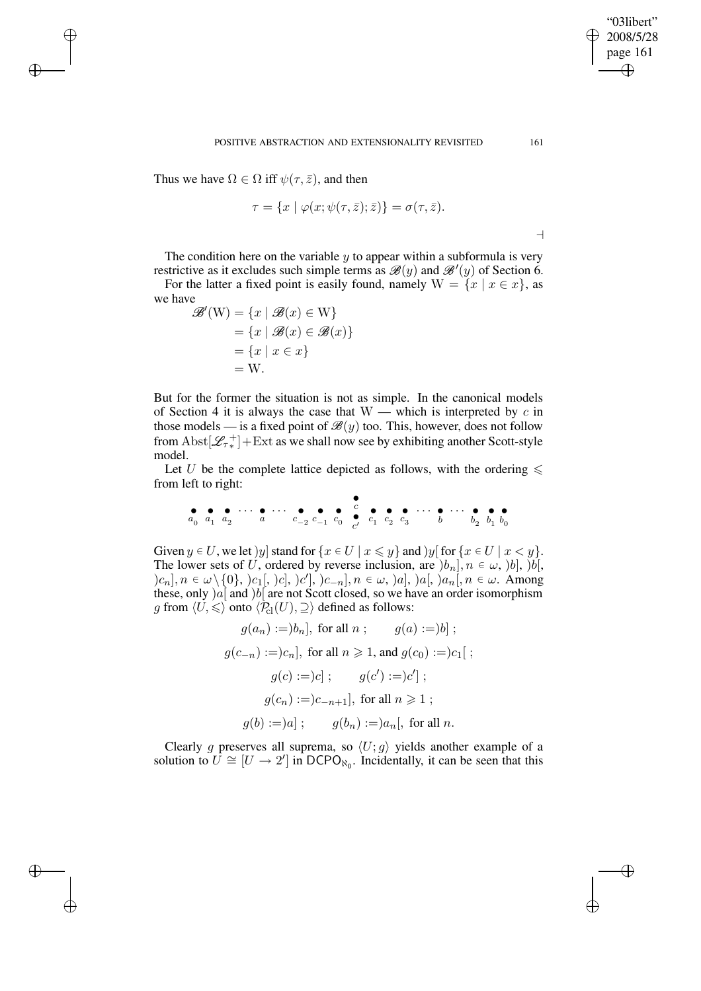Thus we have  $\Omega \in \Omega$  iff  $\psi(\tau, \bar{z})$ , and then

 $\rightarrow$ 

✐

✐

✐

$$
\tau = \{x \mid \varphi(x; \psi(\tau, \bar{z}); \bar{z})\} = \sigma(\tau, \bar{z}).
$$

POSITIVE ABSTRACTION AND EXTENSIONALITY REVISITED 161

 $\overline{\phantom{0}}$ 

"03libert" 2008/5/28 page 161

✐

✐

✐

✐

The condition here on the variable  $y$  to appear within a subformula is very restrictive as it excludes such simple terms as  $\mathscr{B}(y)$  and  $\mathscr{B}'(y)$  of Section 6.

For the latter a fixed point is easily found, namely  $W = \{x \mid x \in x\}$ , as we have

$$
\mathscr{B}'(\mathbf{W}) = \{x \mid \mathscr{B}(x) \in \mathbf{W}\} \n= \{x \mid \mathscr{B}(x) \in \mathscr{B}(x)\} \n= \{x \mid x \in x\} \n= \mathbf{W}.
$$

But for the former the situation is not as simple. In the canonical models of Section 4 it is always the case that  $W$  — which is interpreted by c in those models — is a fixed point of  $\mathcal{B}(y)$  too. This, however, does not follow from  $\text{Abst}[\mathscr{L}_{\tau\ast}^+] + \text{Ext}$  as we shall now see by exhibiting another Scott-style model.

Let U be the complete lattice depicted as follows, with the ordering  $\leq$ from left to right:

• a0 • a1 • a2 · · · • a · · · • c−<sup>2</sup> • c−<sup>1</sup> • c 0 • c • c 0 • c 1 • c 2 • c 3 · · · • b · · · • b 2 • b 1 • b 0

Given  $y \in U$ , we let )y| stand for  $\{x \in U \mid x \leq y\}$  and )y[for  $\{x \in U \mid x < y\}$ . The lower sets of U, ordered by reverse inclusion, are  $[b_n], n \in \omega, [b], [b]$ ,  $(c_n], n \in \omega \setminus \{0\},\, |c_1[, \, |c], \, |c'], \, |c_{-n}], n \in \omega, \, |a], \, |a[, \, |a_n[, n \in \omega.$  Among these, only  $)a[$  and  $)b[$  are not Scott closed, so we have an order isomorphism g from  $\langle U, \leq \rangle$  onto  $\langle P_{\text{cl}}(U), \supseteq \rangle$  defined as follows:

$$
g(a_n) := ]b_n], \text{ for all } n ; \qquad g(a) := ]b];
$$
  

$$
g(c_{-n}) := ]c_n], \text{ for all } n \geq 1, \text{ and } g(c_0) := ]c_1[ ;
$$
  

$$
g(c) := ]c]; \qquad g(c') := ]c'] ;
$$
  

$$
g(c_n) := ]c_{-n+1}], \text{ for all } n \geq 1 ;
$$
  

$$
g(b) := )a]; \qquad g(b_n) := ]a_n[, \text{ for all } n.
$$

Clearly g preserves all suprema, so  $\langle U; g \rangle$  yields another example of a solution to  $U \cong [U \to 2']$  in DCPO<sub>N<sub>0</sub></sub>. Incidentally, it can be seen that this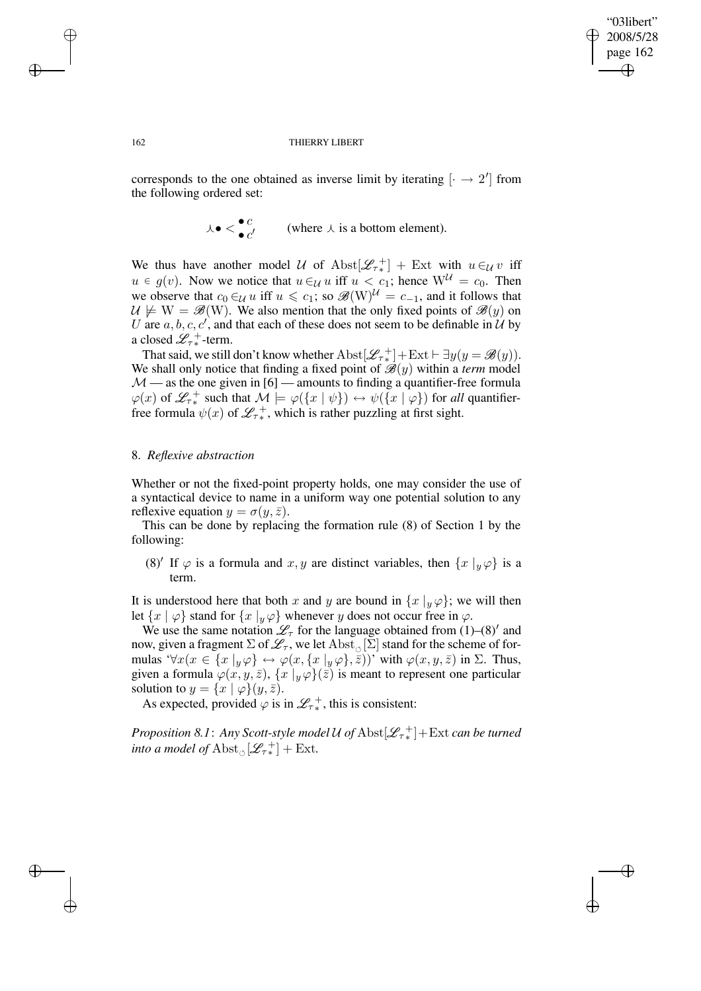✐

#### 162 THIERRY LIBERT

corresponds to the one obtained as inverse limit by iterating  $\left[ \cdot \rightarrow 2^{\prime} \right]$  from the following ordered set:

$$
\lambda \bullet \langle \bullet \atop \bullet \infty \rangle
$$
 (where  $\lambda$  is a bottom element).

We thus have another model U of  $\text{Abst}[\mathcal{L}_{\tau_*}^+]$  + Ext with  $u \in \mathcal{U}$  iff  $u \in g(v)$ . Now we notice that  $u \in \mathcal{U}$  u iff  $u < c_1$ ; hence  $W^{\mathcal{U}} = c_0$ . Then we observe that  $c_0 \in \mathcal{U}$  u iff  $u \leq c_1$ ; so  $\mathcal{B}(W)^{\mathcal{U}} = c_{-1}$ , and it follows that  $U \not\models W = \mathscr{B}(W)$ . We also mention that the only fixed points of  $\mathscr{B}(y)$  on U are  $a, b, c, c'$ , and that each of these does not seem to be definable in  $\mathcal{U}$  by a closed  $\mathscr{L}_{\tau *}^+$ -term.

That said, we still don't know whether  $\text{Abst}[\mathscr{L}_{\tau^*}^+] + \text{Ext} \vdash \exists y(y = \mathscr{B}(y)).$ We shall only notice that finding a fixed point of  $\mathcal{B}(y)$  within a *term* model  $M$  — as the one given in [6] — amounts to finding a quantifier-free formula  $\varphi(x)$  of  $\mathscr{L}_{\tau^*}$  such that  $\mathcal{M} \models \varphi(\lbrace x | \psi \rbrace) \leftrightarrow \psi(\lbrace x | \varphi \rbrace)$  for *all* quantifierfree formula  $\psi(x)$  of  $\mathcal{L}_{\tau^*}^+$ , which is rather puzzling at first sight.

# 8. *Reflexive abstraction*

Whether or not the fixed-point property holds, one may consider the use of a syntactical device to name in a uniform way one potential solution to any reflexive equation  $y = \sigma(y, \bar{z})$ .

This can be done by replacing the formation rule (8) of Section 1 by the following:

(8)' If  $\varphi$  is a formula and  $x, y$  are distinct variables, then  $\{x \mid y \varphi\}$  is a term.

It is understood here that both x and y are bound in  $\{x \mid y \varphi\}$ ; we will then let  $\{x \mid \varphi\}$  stand for  $\{x \mid y \varphi\}$  whenever y does not occur free in  $\varphi$ .

We use the same notation  $\mathscr{L}_{\tau}$  for the language obtained from (1)–(8)' and now, given a fragment  $\Sigma$  of  $\mathscr{L}_{\tau},$  we let  $\mathrm{Abst}_{\circ}[\Sigma]$  stand for the scheme of formulas ' $\forall x (x \in \{x \mid y \varphi\} \leftrightarrow \varphi(x, \{x \mid y \varphi\}, \bar{z}))$ ' with  $\varphi(x, y, \bar{z})$  in  $\Sigma$ . Thus, given a formula  $\varphi(x, y, \bar{z}), \{x | y \varphi\}(\bar{z})$  is meant to represent one particular solution to  $y = \{x \mid \varphi\}(y, \bar{z}).$ 

As expected, provided  $\varphi$  is in  $\mathscr{L}_{\tau^*}$ , this is consistent:

*Proposition 8.1* : Any *Scott-style model*  $\mathcal U$  *of*  $\mathrm{Abst}[\mathscr{L}_{\tau_*}^+] + \mathrm{Ext}$  *can be turned into a model of*  $\mathrm{Abst}_{\circlearrowleft}[\mathscr{L}_{\tau*}^+]+\mathrm{Ext}.$ 

 $\rightarrow$ 

✐

✐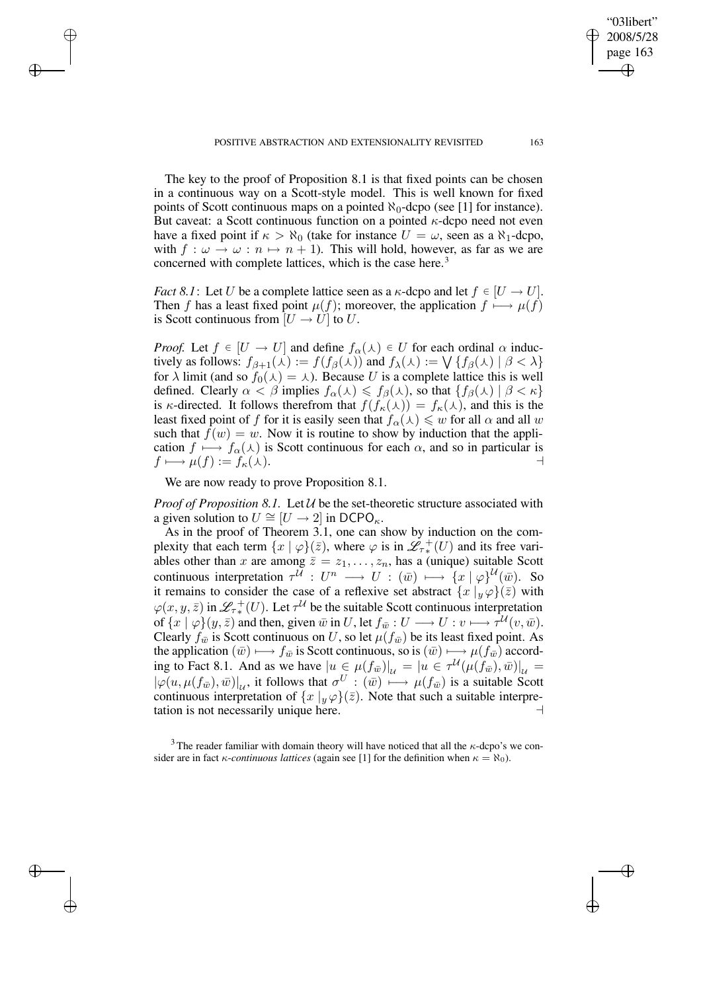The key to the proof of Proposition 8.1 is that fixed points can be chosen in a continuous way on a Scott-style model. This is well known for fixed points of Scott continuous maps on a pointed  $\aleph_0$ -dcpo (see [1] for instance). But caveat: a Scott continuous function on a pointed  $\kappa$ -dcpo need not even have a fixed point if  $\kappa > \aleph_0$  (take for instance  $U = \omega$ , seen as a  $\aleph_1$ -dcpo, with  $f : \omega \to \omega : n \mapsto n + 1$ . This will hold, however, as far as we are concerned with complete lattices, which is the case here.<sup>3</sup>

*Fact* 8.1: Let U be a complete lattice seen as a  $\kappa$ -dcpo and let  $f \in [U \to U]$ . Then f has a least fixed point  $\mu(f)$ ; moreover, the application  $f \mapsto \mu(f)$ is Scott continuous from  $[U \rightarrow U]$  to U.

*Proof.* Let  $f \in [U \to U]$  and define  $f_\alpha(\lambda) \in U$  for each ordinal  $\alpha$  inductively as follows:  $f_{\beta+1}(\lambda) := f(f_{\beta}(\lambda))$  and  $f_{\lambda}(\lambda) := \bigvee \{f_{\beta}(\lambda) \mid \beta < \lambda\}$ for  $\lambda$  limit (and so  $f_0(\lambda) = \lambda$ ). Because U is a complete lattice this is well defined. Clearly  $\alpha < \beta$  implies  $f_{\alpha}(\lambda) \leq f_{\beta}(\lambda)$ , so that  $\{f_{\beta}(\lambda) | \beta < \kappa\}$ is  $\kappa$ -directed. It follows therefrom that  $f(f_{\kappa}(\lambda)) = f_{\kappa}(\lambda)$ , and this is the least fixed point of f for it is easily seen that  $f_\alpha(\lambda) \leq w$  for all  $\alpha$  and all w such that  $f(w) = w$ . Now it is routine to show by induction that the application  $f \mapsto f_{\alpha}(\lambda)$  is Scott continuous for each  $\alpha$ , and so in particular is  $f \longmapsto \mu(f) := f_{\kappa}(\lambda).$ 

We are now ready to prove Proposition 8.1.

 $\rightarrow$ 

✐

✐

✐

*Proof of Proposition 8.1.* Let  $U$  be the set-theoretic structure associated with a given solution to  $U \cong [U \rightarrow 2]$  in DCPO<sub> $\kappa$ </sub>.

As in the proof of Theorem 3.1, one can show by induction on the complexity that each term  $\{x \mid \varphi\}(\bar{z})$ , where  $\varphi$  is in  $\mathscr{L}_{\tau^*}^+(U)$  and its free variables other than x are among  $\overline{z} = z_1, \ldots, z_n$ , has a (unique) suitable Scott continuous interpretation  $\tau^{\tilde{U}}: U^n \longrightarrow U : (\bar{w}) \longmapsto {\{x \mid \varphi\}}^{\tilde{U}}(\bar{w})$ . So it remains to consider the case of a reflexive set abstract  $\{x \mid y \varphi\}(\bar{z})$  with  $\varphi(x, y, \bar{z})$  in  $\mathcal{L}_{\tau^*}(U)$ . Let  $\tau^{\mathcal{U}}$  be the suitable Scott continuous interpretation of  $\{x \mid \varphi\}(y, \bar{z})$  and then, given  $\bar{w}$  in U, let  $f_{\bar{w}} : U \longrightarrow U : v \longmapsto \tau^{\mathcal{U}}(v, \bar{w})$ . Clearly  $f_{\overline{w}}$  is Scott continuous on U, so let  $\mu(f_{\overline{w}})$  be its least fixed point. As the application  $(\bar{w}) \longmapsto f_{\bar{w}}$  is Scott continuous, so is  $(\bar{w}) \longmapsto \mu(f_{\bar{w}})$  according to Fact 8.1. And as we have  $|u \in \mu(f_{\bar{w}})|_{\mathcal{U}} = |u \in \tau^{\mathcal{U}}(\mu(f_{\bar{w}}), \bar{w})|_{\mathcal{U}} =$  $|\varphi(u,\mu(f_{\bar{w}}),\bar{w})|_{\mathcal{U}}$ , it follows that  $\sigma^U : (\bar{w}) \longmapsto \mu(f_{\bar{w}})$  is a suitable Scott continuous interpretation of  $\{x \mid y \varphi\}(\bar{z})$ . Note that such a suitable interpretation is not necessarily unique here.  $\Box$ 

<sup>3</sup> The reader familiar with domain theory will have noticed that all the  $\kappa$ -dcpo's we consider are in fact  $\kappa$ -*continuous lattices* (again see [1] for the definition when  $\kappa = \aleph_0$ ).

"03libert" 2008/5/28 page 163

✐

✐

✐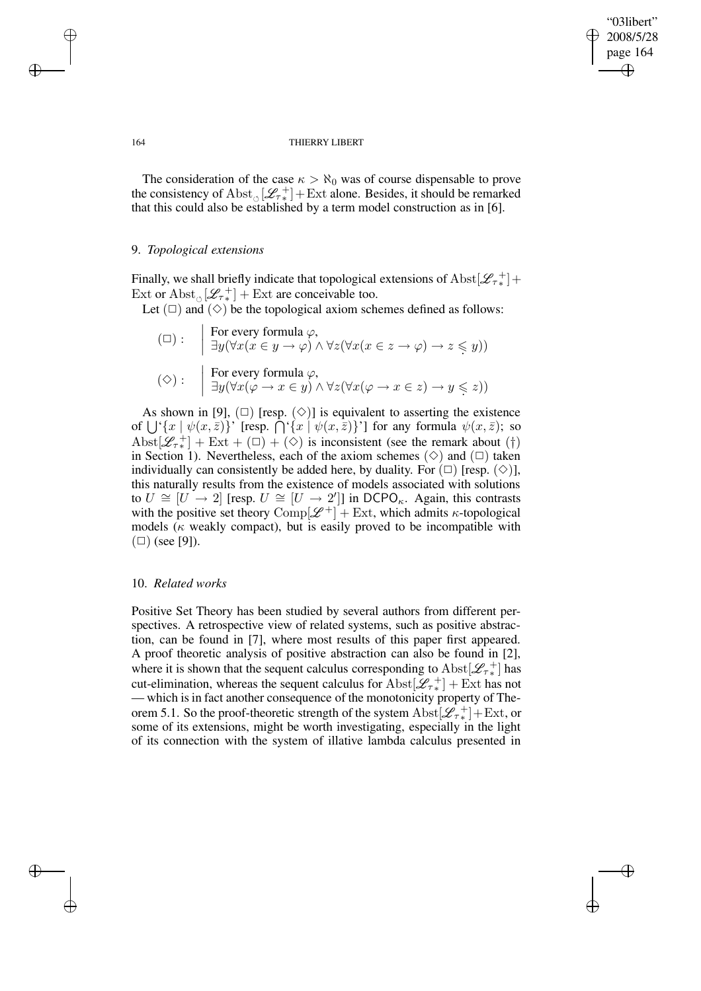✐

#### 164 THIERRY LIBERT

The consideration of the case  $\kappa > \aleph_0$  was of course dispensable to prove the consistency of  $\text{Abst}_{\circ}[\mathcal{L}_{\tau_*}^+] + \text{Ext}$  alone. Besides, it should be remarked that this could also be established by a term model construction as in [6].

# 9. *Topological extensions*

Finally, we shall briefly indicate that topological extensions of  $\text{Abst}[\mathscr{L}_{\tau\,*}^+]+$ Ext or  $\text{Abst}_{\circ}[\mathcal{L}_{\tau*}^+] + \text{Ext}$  are conceivable too.

Let  $(\square)$  and  $(\diamond)$  be the topological axiom schemes defined as follows:

$$
(\Box) : \quad \begin{array}{l} \begin{aligned} \text{For every formula } \varphi, \\ \exists y (\forall x (x \in y \to \varphi) \land \forall z (\forall x (x \in z \to \varphi) \to z \leq y)) \\ (\Diamond) : \quad & \begin{aligned} \text{For every formula } \varphi, \\ \exists y (\forall x (\varphi \to x \in y) \land \forall z (\forall x (\varphi \to x \in z) \to y \leq z)) \end{aligned} \end{array}
$$

As shown in [9],  $(\square)$  [resp.  $(\diamond)$ ] is equivalent to asserting the existence of  $\bigcup^{\in} \{x \mid \psi(x, \bar{z})\}$ ' [resp.  $\bigcap^{\in} \{x \mid \psi(x, \bar{z})\}$ '] for any formula  $\psi(x, \bar{z})$ ; so Abst $[\mathscr{L}_{\tau^*}]$  + Ext + ( $\Box$ ) + ( $\diamond$ ) is inconsistent (see the remark about (†) in Section 1). Nevertheless, each of the axiom schemes  $(\Diamond)$  and  $(\Box)$  taken individually can consistently be added here, by duality. For  $(\Box)$  [resp.  $(\Diamond)$ ], this naturally results from the existence of models associated with solutions to  $U \cong [U \rightarrow 2]$  [resp.  $U \cong [U \rightarrow 2']$ ] in DCPO<sub> $\kappa$ </sub>. Again, this contrasts with the positive set theory  $\text{Comp}[\mathcal{L}^+] + \text{Ext}$ , which admits  $\kappa$ -topological models ( $\kappa$  weakly compact), but is easily proved to be incompatible with  $(\Box)$  (see [9]).

## 10. *Related works*

Positive Set Theory has been studied by several authors from different perspectives. A retrospective view of related systems, such as positive abstraction, can be found in [7], where most results of this paper first appeared. A proof theoretic analysis of positive abstraction can also be found in [2], where it is shown that the sequent calculus corresponding to  $\text{Abst}[\mathscr{L}_{\tau_*}^+]$  has cut-elimination, whereas the sequent calculus for  $\text{Abst}[\mathscr{L}_{\tau*}^+] + \text{Ext}$  has not — which is in fact another consequence of the monotonicity property of Theorem 5.1. So the proof-theoretic strength of the system  $\text{Abst}[\mathscr{L}_{\tau^*}] + \text{Ext}$ , or some of its extensions, might be worth investigating, especially in the light of its connection with the system of illative lambda calculus presented in

 $\rightarrow$ 

✐

✐